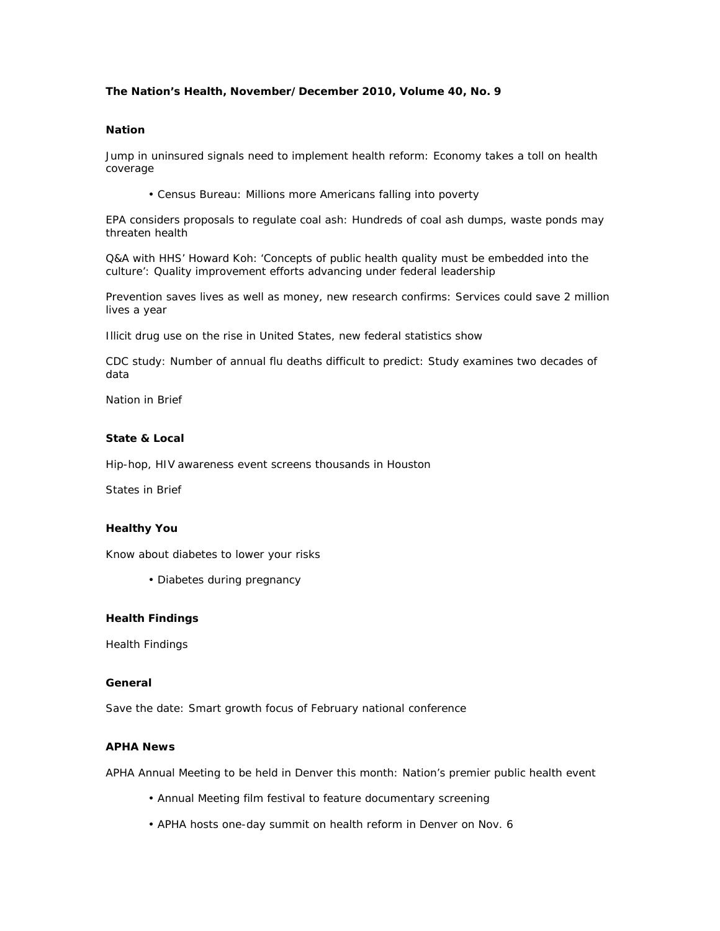## **The Nation's Health, November/December 2010, Volume 40, No. 9**

#### **Nation**

Jump in uninsured signals need to implement health reform: Economy takes a toll on health coverage

• Census Bureau: Millions more Americans falling into poverty

EPA considers proposals to regulate coal ash: Hundreds of coal ash dumps, waste ponds may threaten health

Q&A with HHS' Howard Koh: 'Concepts of public health quality must be embedded into the culture': Quality improvement efforts advancing under federal leadership

Prevention saves lives as well as money, new research confirms: Services could save 2 million lives a year

Illicit drug use on the rise in United States, new federal statistics show

CDC study: Number of annual flu deaths difficult to predict: Study examines two decades of data

Nation in Brief

### **State & Local**

Hip-hop, HIV awareness event screens thousands in Houston

States in Brief

#### **Healthy You**

Know about diabetes to lower your risks

• Diabetes during pregnancy

### **Health Findings**

Health Findings

# **General**

Save the date: Smart growth focus of February national conference

#### **APHA News**

APHA Annual Meeting to be held in Denver this month: Nation's premier public health event

- Annual Meeting film festival to feature documentary screening
- APHA hosts one-day summit on health reform in Denver on Nov. 6